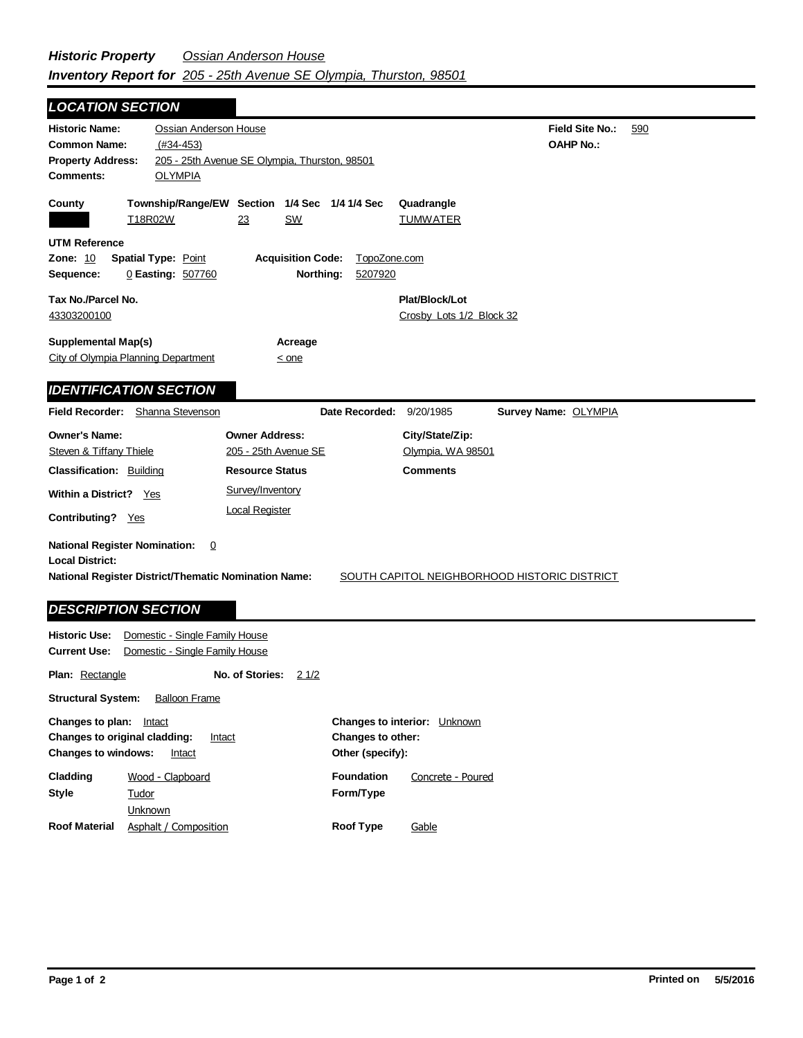| <b>LOCATION SECTION</b>                                                                                                                                |                                                                                                                      |                                                         |
|--------------------------------------------------------------------------------------------------------------------------------------------------------|----------------------------------------------------------------------------------------------------------------------|---------------------------------------------------------|
| <b>Historic Name:</b><br><b>Common Name:</b><br><b>Property Address:</b><br>Comments:                                                                  | <b>Ossian Anderson House</b><br>$(#34-453)$<br>205 - 25th Avenue SE Olympia, Thurston, 98501<br><b>OLYMPIA</b>       | <b>Field Site No.:</b><br>590<br><b>OAHP No.:</b>       |
| County<br>T18R02W                                                                                                                                      | Township/Range/EW Section 1/4 Sec 1/4 1/4 Sec<br>23<br><b>SW</b>                                                     | Quadrangle<br><b>TUMWATER</b>                           |
| <b>UTM Reference</b><br><b>Zone: 10</b><br><b>Spatial Type: Point</b><br>Sequence:                                                                     | <b>Acquisition Code:</b><br>0 Easting: 507760<br>Northing:                                                           | TopoZone.com<br>5207920                                 |
| Tax No./Parcel No.<br>43303200100                                                                                                                      |                                                                                                                      | Plat/Block/Lot<br>Crosby Lots 1/2 Block 32              |
| <b>Supplemental Map(s)</b><br>City of Olympia Planning Department                                                                                      | Acreage<br>$\leq$ one                                                                                                |                                                         |
| <b>IDENTIFICATION SECTION</b><br>Field Recorder: Shanna Stevenson                                                                                      |                                                                                                                      | Date Recorded: 9/20/1985<br>Survey Name: OLYMPIA        |
| <b>Owner's Name:</b><br><b>Steven &amp; Tiffany Thiele</b><br><b>Classification: Building</b><br><b>Within a District?</b><br>Yes<br>Contributing? Yes | <b>Owner Address:</b><br>205 - 25th Avenue SE<br><b>Resource Status</b><br>Survey/Inventory<br><b>Local Register</b> | City/State/Zip:<br>Olympia, WA 98501<br><b>Comments</b> |
| <b>National Register Nomination:</b><br><b>Local District:</b><br><b>DESCRIPTION SECTION</b>                                                           | $\overline{0}$<br>National Register District/Thematic Nomination Name:                                               | SOUTH CAPITOL NEIGHBORHOOD HISTORIC DISTRICT            |
| <b>Historic Use:</b><br><b>Current Use:</b>                                                                                                            | Domestic - Single Family House<br>Domestic - Single Family House                                                     |                                                         |

**Roof Type**

Gable

| <b>Plan:</b> Rectangle                                                                                        |                                      | No. of Stories: | 21/2 |                                              |                                     |
|---------------------------------------------------------------------------------------------------------------|--------------------------------------|-----------------|------|----------------------------------------------|-------------------------------------|
| <b>Structural System:</b>                                                                                     | <b>Balloon Frame</b>                 |                 |      |                                              |                                     |
| Changes to plan:<br>Intact<br>Changes to original cladding:<br>Intact<br><b>Changes to windows:</b><br>Intact |                                      |                 |      | <b>Changes to other:</b><br>Other (specify): | <b>Changes to interior:</b> Unknown |
| Cladding<br><b>Style</b>                                                                                      | Wood - Clapboard<br>Tudor<br>Unknown |                 |      | <b>Foundation</b><br>Form/Type               | Concrete - Poured                   |

**Roof Material** Asphalt / Composition